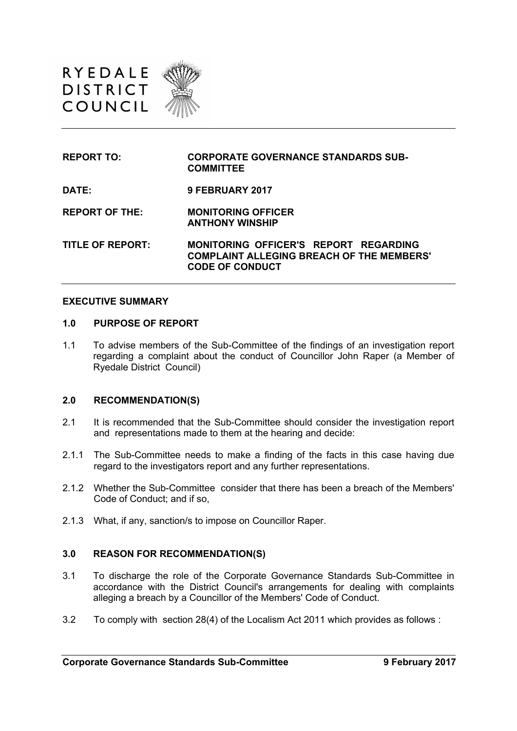

| <b>REPORT TO:</b>       | <b>CORPORATE GOVERNANCE STANDARDS SUB-</b><br><b>COMMITTEE</b>                                                             |
|-------------------------|----------------------------------------------------------------------------------------------------------------------------|
| DATE:                   | <b>9 FEBRUARY 2017</b>                                                                                                     |
| <b>REPORT OF THE:</b>   | <b>MONITORING OFFICER</b><br><b>ANTHONY WINSHIP</b>                                                                        |
| <b>TITLE OF REPORT:</b> | <b>MONITORING OFFICER'S REPORT REGARDING</b><br><b>COMPLAINT ALLEGING BREACH OF THE MEMBERS'</b><br><b>CODE OF CONDUCT</b> |

#### **EXECUTIVE SUMMARY**

#### **1.0 PURPOSE OF REPORT**

1.1 To advise members of the Sub-Committee of the findings of an investigation report regarding a complaint about the conduct of Councillor John Raper (a Member of Ryedale District Council)

#### **2.0 RECOMMENDATION(S)**

- 2.1 It is recommended that the Sub-Committee should consider the investigation report and representations made to them at the hearing and decide:
- 2.1.1 The Sub-Committee needs to make a finding of the facts in this case having due regard to the investigators report and any further representations.
- 2.1.2 Whether the Sub-Committee consider that there has been a breach of the Members' Code of Conduct; and if so,
- 2.1.3 What, if any, sanction/s to impose on Councillor Raper.

#### **3.0 REASON FOR RECOMMENDATION(S)**

- 3.1 To discharge the role of the Corporate Governance Standards Sub-Committee in accordance with the District Council's arrangements for dealing with complaints alleging a breach by a Councillor of the Members' Code of Conduct.
- 3.2 To comply with section 28(4) of the Localism Act 2011 which provides as follows :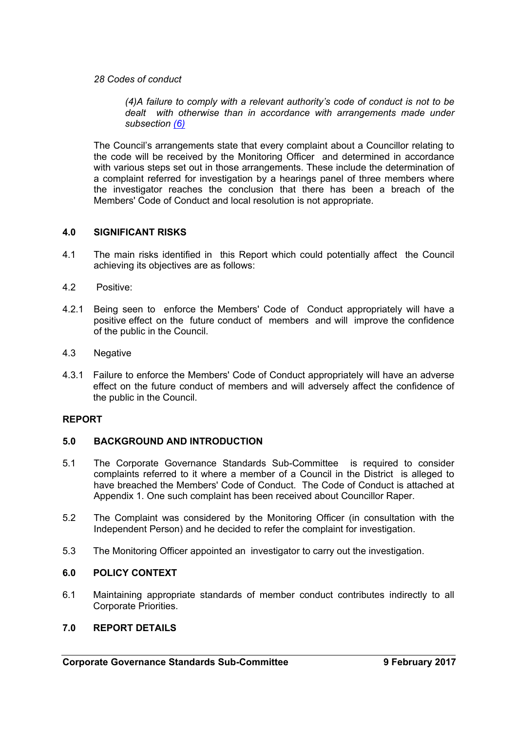*28 Codes of conduct*

*(4)A failure to comply with a relevant authority's code of conduct is not to be dealt with otherwise than in accordance with arrangements made under subsection [\(6\)](http://www.legislation.gov.uk/ukpga/2011/20/section/28/enacted#section-28-6)*

The Council's arrangements state that every complaint about a Councillor relating to the code will be received by the Monitoring Officer and determined in accordance with various steps set out in those arrangements. These include the determination of a complaint referred for investigation by a hearings panel of three members where the investigator reaches the conclusion that there has been a breach of the Members' Code of Conduct and local resolution is not appropriate.

#### **4.0 SIGNIFICANT RISKS**

- 4.1 The main risks identified in this Report which could potentially affect the Council achieving its objectives are as follows:
- 4.2 Positive:
- 4.2.1 Being seen to enforce the Members' Code of Conduct appropriately will have a positive effect on the future conduct of members and will improve the confidence of the public in the Council.
- 4.3 Negative
- 4.3.1 Failure to enforce the Members' Code of Conduct appropriately will have an adverse effect on the future conduct of members and will adversely affect the confidence of the public in the Council.

#### **REPORT**

#### **5.0 BACKGROUND AND INTRODUCTION**

- 5.1 The Corporate Governance Standards Sub-Committee is required to consider complaints referred to it where a member of a Council in the District is alleged to have breached the Members' Code of Conduct. The Code of Conduct is attached at Appendix 1. One such complaint has been received about Councillor Raper.
- 5.2 The Complaint was considered by the Monitoring Officer (in consultation with the Independent Person) and he decided to refer the complaint for investigation.
- 5.3 The Monitoring Officer appointed an investigator to carry out the investigation.

#### **6.0 POLICY CONTEXT**

6.1 Maintaining appropriate standards of member conduct contributes indirectly to all Corporate Priorities.

#### **7.0 REPORT DETAILS**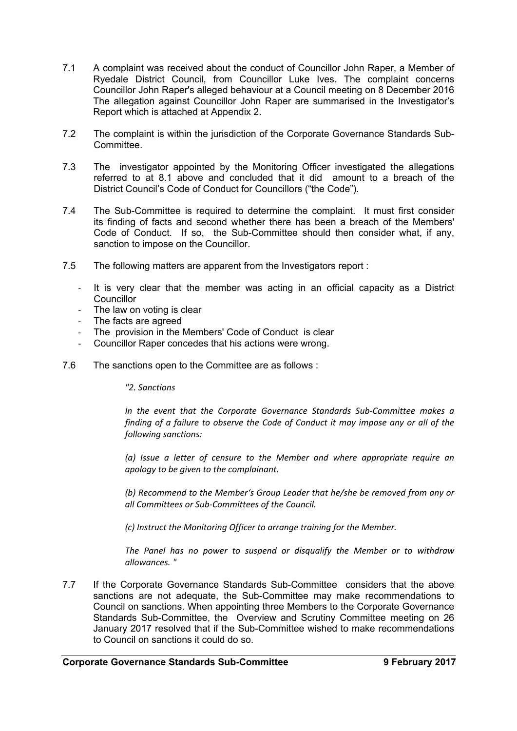- 7.1 A complaint was received about the conduct of Councillor John Raper, a Member of Ryedale District Council, from Councillor Luke Ives. The complaint concerns Councillor John Raper's alleged behaviour at a Council meeting on 8 December 2016 The allegation against Councillor John Raper are summarised in the Investigator's Report which is attached at Appendix 2.
- 7.2 The complaint is within the jurisdiction of the Corporate Governance Standards Sub-Committee.
- 7.3 The investigator appointed by the Monitoring Officer investigated the allegations referred to at 8.1 above and concluded that it did amount to a breach of the District Council's Code of Conduct for Councillors ("the Code").
- 7.4 The Sub-Committee is required to determine the complaint. It must first consider its finding of facts and second whether there has been a breach of the Members' Code of Conduct. If so, the Sub-Committee should then consider what, if any, sanction to impose on the Councillor.
- 7.5 The following matters are apparent from the Investigators report :
	- It is very clear that the member was acting in an official capacity as a District **Councillor**
	- The law on voting is clear
	- The facts are agreed
	- The provision in the Members' Code of Conduct is clear
	- Councillor Raper concedes that his actions were wrong.
- 7.6 The sanctions open to the Committee are as follows :

*"2. Sanctions*

*In the event that the Corporate Governance Standards Sub-Committee makes a finding of a failure to observe the Code of Conduct it may impose any or all of the following sanctions:*

*(a) Issue a letter of censure to the Member and where appropriate require an apology to be given to the complainant.*

*(b) Recommend to the Member's Group Leader that he/she be removed from any or all Committees or Sub-Committees of the Council.*

*(c) Instruct the Monitoring Officer to arrange training for the Member.*

*The Panel has no power to suspend or disqualify the Member or to withdraw allowances. "*

7.7 If the Corporate Governance Standards Sub-Committee considers that the above sanctions are not adequate, the Sub-Committee may make recommendations to Council on sanctions. When appointing three Members to the Corporate Governance Standards Sub-Committee, the Overview and Scrutiny Committee meeting on 26 January 2017 resolved that if the Sub-Committee wished to make recommendations to Council on sanctions it could do so.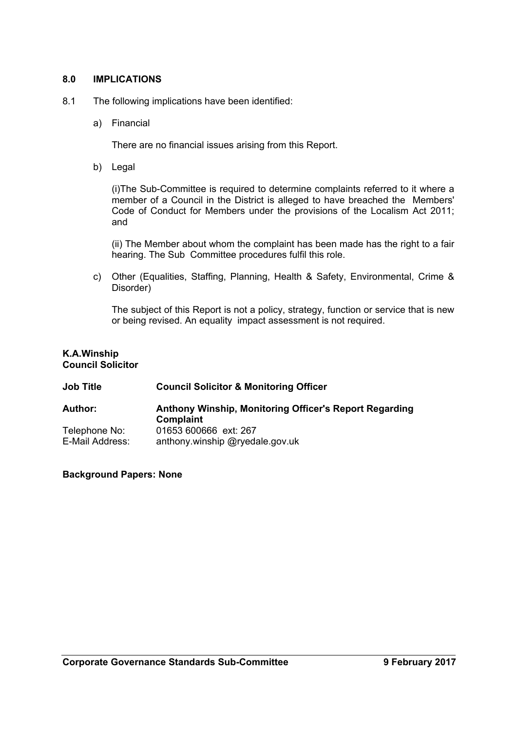#### **8.0 IMPLICATIONS**

- 8.1 The following implications have been identified:
	- a) Financial

There are no financial issues arising from this Report.

b) Legal

(i)The Sub-Committee is required to determine complaints referred to it where a member of a Council in the District is alleged to have breached the Members' Code of Conduct for Members under the provisions of the Localism Act 2011; and

(ii) The Member about whom the complaint has been made has the right to a fair hearing. The Sub Committee procedures fulfil this role.

c) Other (Equalities, Staffing, Planning, Health & Safety, Environmental, Crime & Disorder)

The subject of this Report is not a policy, strategy, function or service that is new or being revised. An equality impact assessment is not required.

#### **K.A.Winship Council Solicitor**

# **Job Title Council Solicitor & Monitoring Officer**

| <b>Author:</b>  | Anthony Winship, Monitoring Officer's Report Regarding<br>Complaint |  |
|-----------------|---------------------------------------------------------------------|--|
| Telephone No:   | 01653 600666 ext: 267                                               |  |
| E-Mail Address: | anthony winship @ryedale.gov.uk                                     |  |

#### **Background Papers: None**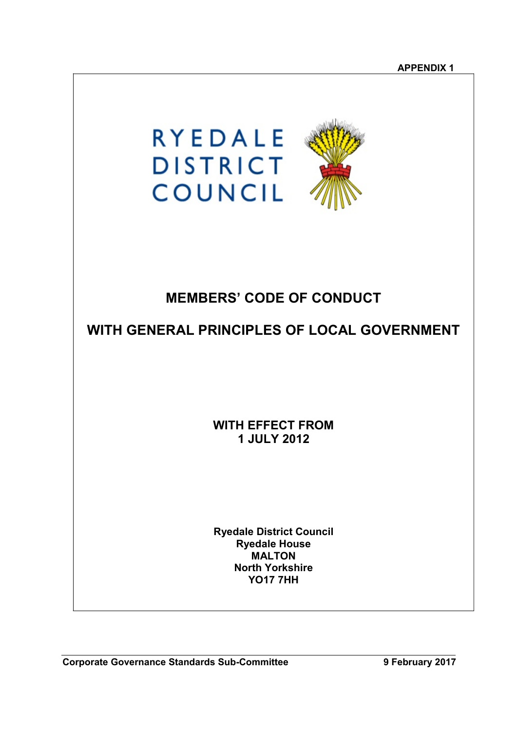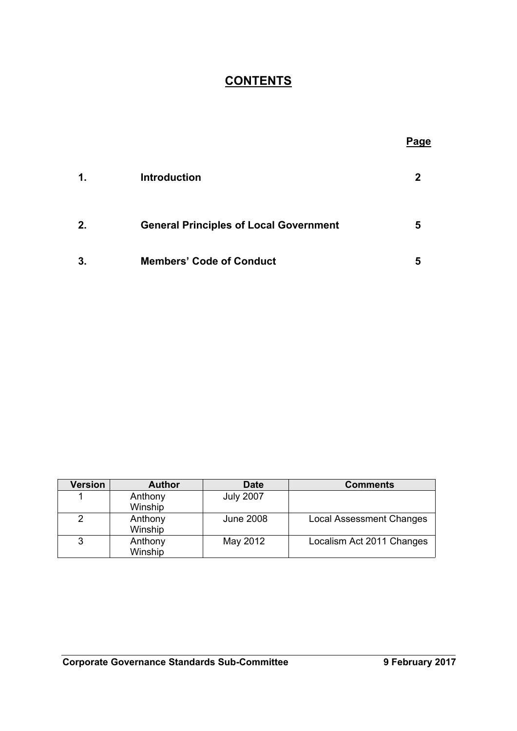# **CONTENTS**

|    |                                               | <b>Page</b> |
|----|-----------------------------------------------|-------------|
| 1. | <b>Introduction</b>                           |             |
| 2. | <b>General Principles of Local Government</b> | 5           |
| 3. | <b>Members' Code of Conduct</b>               | 5           |

| Version | <b>Author</b> | <b>Date</b>      | <b>Comments</b>                 |
|---------|---------------|------------------|---------------------------------|
|         | Anthony       | <b>July 2007</b> |                                 |
|         | Winship       |                  |                                 |
|         | Anthony       | <b>June 2008</b> | <b>Local Assessment Changes</b> |
|         | Winship       |                  |                                 |
|         | Anthony       | May 2012         | Localism Act 2011 Changes       |
|         | Winship       |                  |                                 |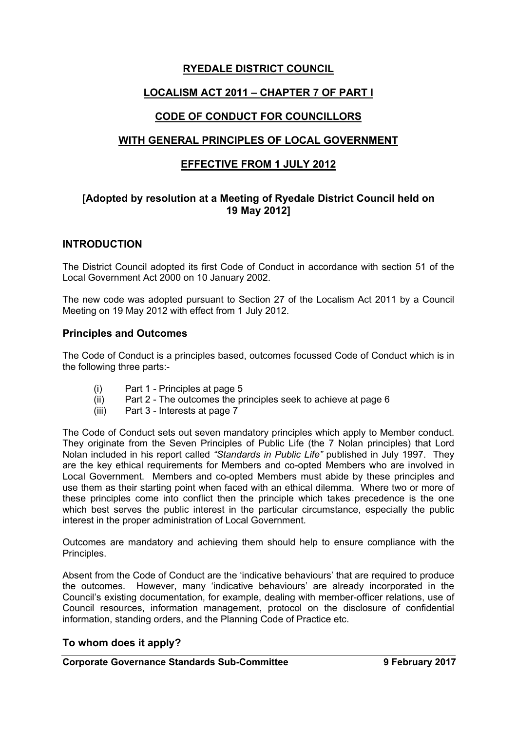## **RYEDALE DISTRICT COUNCIL**

## **LOCALISM ACT 2011 – CHAPTER 7 OF PART I**

## **CODE OF CONDUCT FOR COUNCILLORS**

## **WITH GENERAL PRINCIPLES OF LOCAL GOVERNMENT**

## **EFFECTIVE FROM 1 JULY 2012**

## **[Adopted by resolution at a Meeting of Ryedale District Council held on 19 May 2012]**

## **INTRODUCTION**

The District Council adopted its first Code of Conduct in accordance with section 51 of the Local Government Act 2000 on 10 January 2002.

The new code was adopted pursuant to Section 27 of the Localism Act 2011 by a Council Meeting on 19 May 2012 with effect from 1 July 2012.

## **Principles and Outcomes**

The Code of Conduct is a principles based, outcomes focussed Code of Conduct which is in the following three parts:-

- (i) Part 1 Principles at page 5
- (ii) Part 2 The outcomes the principles seek to achieve at page 6
- (iii) Part 3 Interests at page 7

The Code of Conduct sets out seven mandatory principles which apply to Member conduct. They originate from the Seven Principles of Public Life (the 7 Nolan principles) that Lord Nolan included in his report called *"Standards in Public Life"* published in July 1997. They are the key ethical requirements for Members and co-opted Members who are involved in Local Government. Members and co-opted Members must abide by these principles and use them as their starting point when faced with an ethical dilemma. Where two or more of these principles come into conflict then the principle which takes precedence is the one which best serves the public interest in the particular circumstance, especially the public interest in the proper administration of Local Government.

Outcomes are mandatory and achieving them should help to ensure compliance with the Principles.

Absent from the Code of Conduct are the 'indicative behaviours' that are required to produce the outcomes. However, many 'indicative behaviours' are already incorporated in the Council's existing documentation, for example, dealing with member-officer relations, use of Council resources, information management, protocol on the disclosure of confidential information, standing orders, and the Planning Code of Practice etc.

## **To whom does it apply?**

#### **Corporate Governance Standards Sub-Committee 9 February 2017**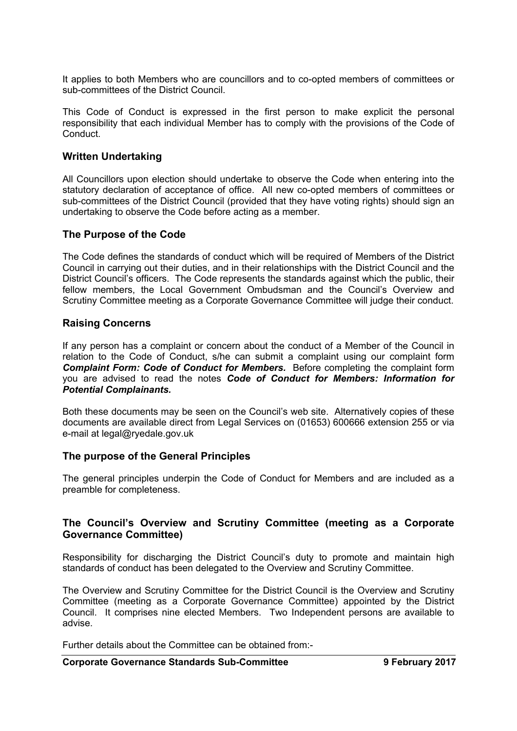It applies to both Members who are councillors and to co-opted members of committees or sub-committees of the District Council.

This Code of Conduct is expressed in the first person to make explicit the personal responsibility that each individual Member has to comply with the provisions of the Code of **Conduct** 

#### **Written Undertaking**

All Councillors upon election should undertake to observe the Code when entering into the statutory declaration of acceptance of office. All new co-opted members of committees or sub-committees of the District Council (provided that they have voting rights) should sign an undertaking to observe the Code before acting as a member.

## **The Purpose of the Code**

The Code defines the standards of conduct which will be required of Members of the District Council in carrying out their duties, and in their relationships with the District Council and the District Council's officers. The Code represents the standards against which the public, their fellow members, the Local Government Ombudsman and the Council's Overview and Scrutiny Committee meeting as a Corporate Governance Committee will judge their conduct.

## **Raising Concerns**

If any person has a complaint or concern about the conduct of a Member of the Council in relation to the Code of Conduct, s/he can submit a complaint using our complaint form *Complaint Form: Code of Conduct for Members.* Before completing the complaint form you are advised to read the notes *Code of Conduct for Members: Information for Potential Complainants.*

Both these documents may be seen on the Council's web site. Alternatively copies of these documents are available direct from Legal Services on (01653) 600666 extension 255 or via e-mail at legal@ryedale.gov.uk

#### **The purpose of the General Principles**

The general principles underpin the Code of Conduct for Members and are included as a preamble for completeness.

## **The Council's Overview and Scrutiny Committee (meeting as a Corporate Governance Committee)**

Responsibility for discharging the District Council's duty to promote and maintain high standards of conduct has been delegated to the Overview and Scrutiny Committee.

The Overview and Scrutiny Committee for the District Council is the Overview and Scrutiny Committee (meeting as a Corporate Governance Committee) appointed by the District Council. It comprises nine elected Members. Two Independent persons are available to advise.

Further details about the Committee can be obtained from:-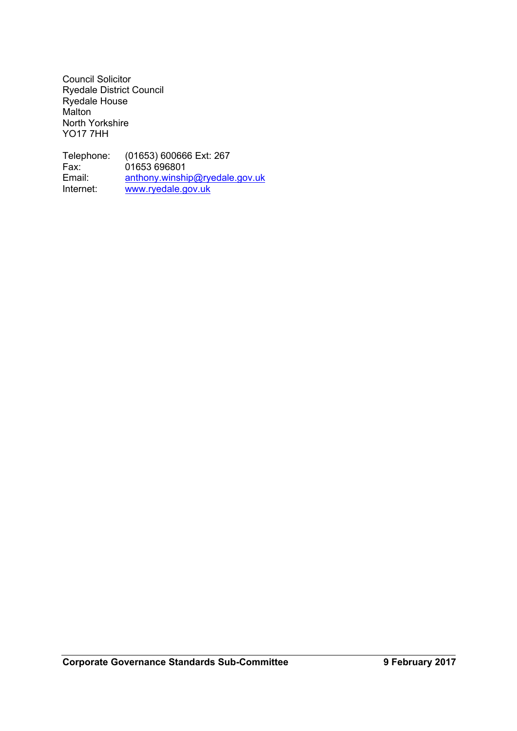Council Solicitor Ryedale District Council Ryedale House Malton North Yorkshire YO17 7HH

Telephone: (01653) 600666 Ext: 267<br>Fax: 01653 696801 Fax: 01653 696801<br>Email: anthony.winshi Email: [anthony.winship@ryedale.gov.uk](mailto:anthony.winship@ryedale.gov.uk)<br>Internet: www.ryedale.gov.uk [www.ryedale.gov.uk](http://www.ryedale.gov.uk/)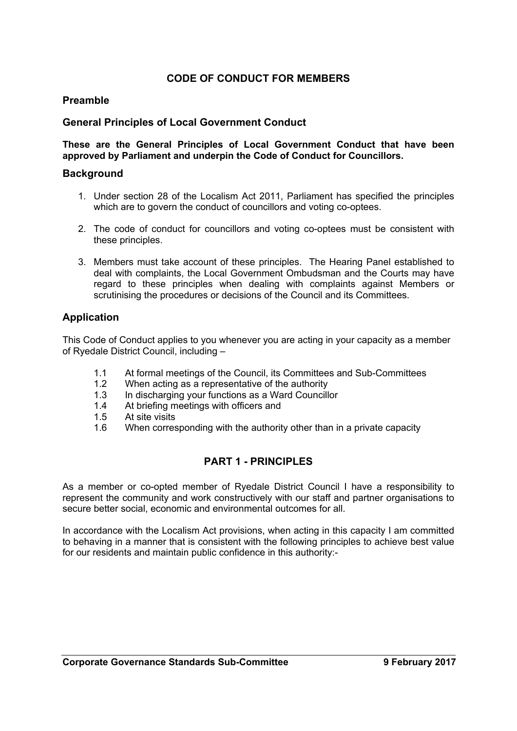## **CODE OF CONDUCT FOR MEMBERS**

## **Preamble**

### **General Principles of Local Government Conduct**

**These are the General Principles of Local Government Conduct that have been approved by Parliament and underpin the Code of Conduct for Councillors.**

#### **Background**

- 1. Under section 28 of the Localism Act 2011, Parliament has specified the principles which are to govern the conduct of councillors and voting co-optees.
- 2. The code of conduct for councillors and voting co-optees must be consistent with these principles.
- 3. Members must take account of these principles. The Hearing Panel established to deal with complaints, the Local Government Ombudsman and the Courts may have regard to these principles when dealing with complaints against Members or scrutinising the procedures or decisions of the Council and its Committees.

### **Application**

This Code of Conduct applies to you whenever you are acting in your capacity as a member of Ryedale District Council, including –

- 1.1 At formal meetings of the Council, its Committees and Sub-Committees
- 1.2 When acting as a representative of the authority
- 1.3 In discharging your functions as a Ward Councillor
- 1.4 At briefing meetings with officers and
- 1.5 At site visits
- 1.6 When corresponding with the authority other than in a private capacity

## **PART 1 - PRINCIPLES**

As a member or co-opted member of Ryedale District Council I have a responsibility to represent the community and work constructively with our staff and partner organisations to secure better social, economic and environmental outcomes for all.

In accordance with the Localism Act provisions, when acting in this capacity I am committed to behaving in a manner that is consistent with the following principles to achieve best value for our residents and maintain public confidence in this authority:-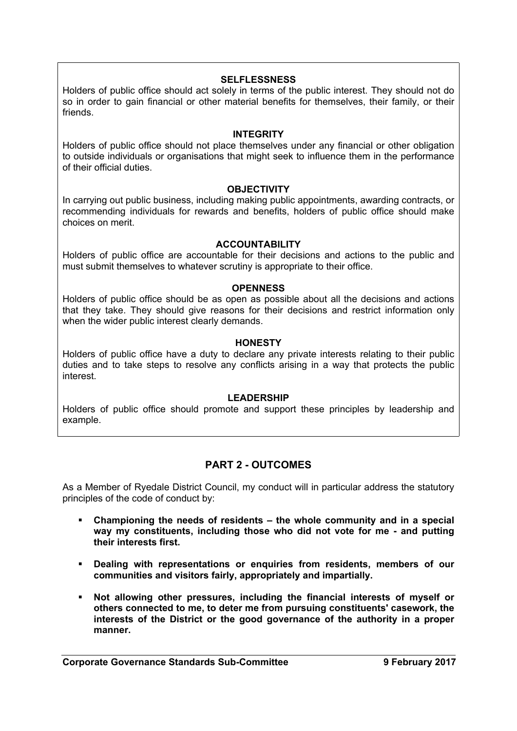#### **SELFLESSNESS**

Holders of public office should act solely in terms of the public interest. They should not do so in order to gain financial or other material benefits for themselves, their family, or their friends.

#### **INTEGRITY**

Holders of public office should not place themselves under any financial or other obligation to outside individuals or organisations that might seek to influence them in the performance of their official duties.

#### **OBJECTIVITY**

In carrying out public business, including making public appointments, awarding contracts, or recommending individuals for rewards and benefits, holders of public office should make choices on merit.

#### **ACCOUNTABILITY**

Holders of public office are accountable for their decisions and actions to the public and must submit themselves to whatever scrutiny is appropriate to their office.

#### **OPENNESS**

Holders of public office should be as open as possible about all the decisions and actions that they take. They should give reasons for their decisions and restrict information only when the wider public interest clearly demands.

#### **HONESTY**

Holders of public office have a duty to declare any private interests relating to their public duties and to take steps to resolve any conflicts arising in a way that protects the public interest.

#### **LEADERSHIP**

Holders of public office should promote and support these principles by leadership and example.

## **PART 2 - OUTCOMES**

As a Member of Ryedale District Council, my conduct will in particular address the statutory principles of the code of conduct by:

- **Championing the needs of residents – the whole community and in a special way my constituents, including those who did not vote for me - and putting their interests first.**
- **Dealing with representations or enquiries from residents, members of our communities and visitors fairly, appropriately and impartially.**
- **Not allowing other pressures, including the financial interests of myself or others connected to me, to deter me from pursuing constituents' casework, the interests of the District or the good governance of the authority in a proper manner.**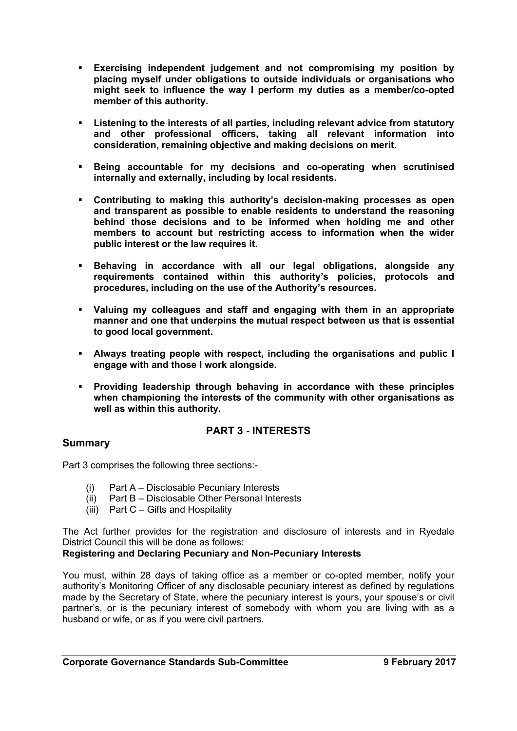- **Exercising independent judgement and not compromising my position by placing myself under obligations to outside individuals or organisations who might seek to influence the way I perform my duties as a member/co-opted member of this authority.**
- **Listening to the interests of all parties, including relevant advice from statutory and other professional officers, taking all relevant information into consideration, remaining objective and making decisions on merit.**
- **Being accountable for my decisions and co-operating when scrutinised internally and externally, including by local residents.**
- **Contributing to making this authority's decision-making processes as open and transparent as possible to enable residents to understand the reasoning behind those decisions and to be informed when holding me and other members to account but restricting access to information when the wider public interest or the law requires it.**
- **Behaving in accordance with all our legal obligations, alongside any requirements contained within this authority's policies, protocols and procedures, including on the use of the Authority's resources.**
- **Valuing my colleagues and staff and engaging with them in an appropriate manner and one that underpins the mutual respect between us that is essential to good local government.**
- **Always treating people with respect, including the organisations and public I engage with and those I work alongside.**
- **Providing leadership through behaving in accordance with these principles when championing the interests of the community with other organisations as well as within this authority.**

## **PART 3 - INTERESTS**

## **Summary**

Part 3 comprises the following three sections:-

- (i) Part A Disclosable Pecuniary Interests
- (ii) Part B Disclosable Other Personal Interests
- (iii) Part C Gifts and Hospitality

The Act further provides for the registration and disclosure of interests and in Ryedale District Council this will be done as follows:

#### **Registering and Declaring Pecuniary and Non-Pecuniary Interests**

You must, within 28 days of taking office as a member or co-opted member, notify your authority's Monitoring Officer of any disclosable pecuniary interest as defined by regulations made by the Secretary of State, where the pecuniary interest is yours, your spouse's or civil partner's, or is the pecuniary interest of somebody with whom you are living with as a husband or wife, or as if you were civil partners.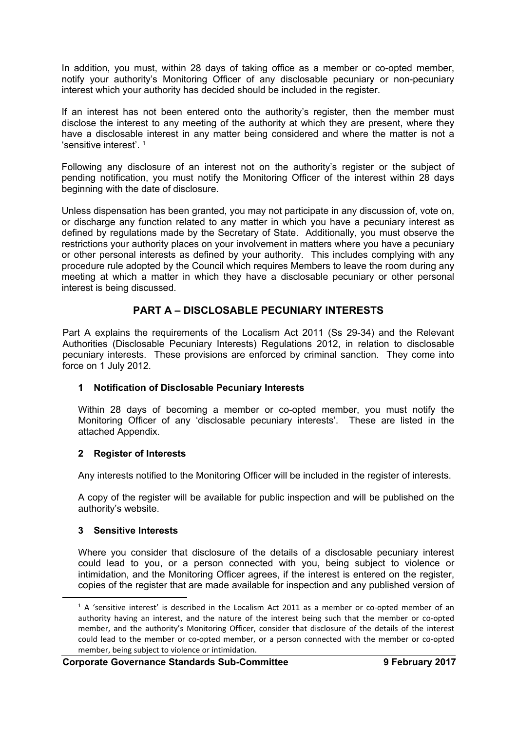In addition, you must, within 28 days of taking office as a member or co-opted member, notify your authority's Monitoring Officer of any disclosable pecuniary or non-pecuniary interest which your authority has decided should be included in the register.

If an interest has not been entered onto the authority's register, then the member must disclose the interest to any meeting of the authority at which they are present, where they have a disclosable interest in any matter being considered and where the matter is not a 'sensitive interest'. <sup>1</sup>

Following any disclosure of an interest not on the authority's register or the subject of pending notification, you must notify the Monitoring Officer of the interest within 28 days beginning with the date of disclosure.

Unless dispensation has been granted, you may not participate in any discussion of, vote on, or discharge any function related to any matter in which you have a pecuniary interest as defined by regulations made by the Secretary of State. Additionally, you must observe the restrictions your authority places on your involvement in matters where you have a pecuniary or other personal interests as defined by your authority. This includes complying with any procedure rule adopted by the Council which requires Members to leave the room during any meeting at which a matter in which they have a disclosable pecuniary or other personal interest is being discussed.

## **PART A – DISCLOSABLE PECUNIARY INTERESTS**

Part A explains the requirements of the Localism Act 2011 (Ss 29-34) and the Relevant Authorities (Disclosable Pecuniary Interests) Regulations 2012, in relation to disclosable pecuniary interests. These provisions are enforced by criminal sanction. They come into force on 1 July 2012.

## **1 Notification of Disclosable Pecuniary Interests**

Within 28 days of becoming a member or co-opted member, you must notify the Monitoring Officer of any 'disclosable pecuniary interests'. These are listed in the attached Appendix.

#### **2 Register of Interests**

Any interests notified to the Monitoring Officer will be included in the register of interests.

A copy of the register will be available for public inspection and will be published on the authority's website.

## **3 Sensitive Interests**

Where you consider that disclosure of the details of a disclosable pecuniary interest could lead to you, or a person connected with you, being subject to violence or intimidation, and the Monitoring Officer agrees, if the interest is entered on the register, copies of the register that are made available for inspection and any published version of

<sup>&</sup>lt;sup>1</sup> A 'sensitive interest' is described in the Localism Act 2011 as a member or co-opted member of an authority having an interest, and the nature of the interest being such that the member or co-opted member, and the authority's Monitoring Officer, consider that disclosure of the details of the interest could lead to the member or co-opted member, or a person connected with the member or co-opted member, being subject to violence or intimidation.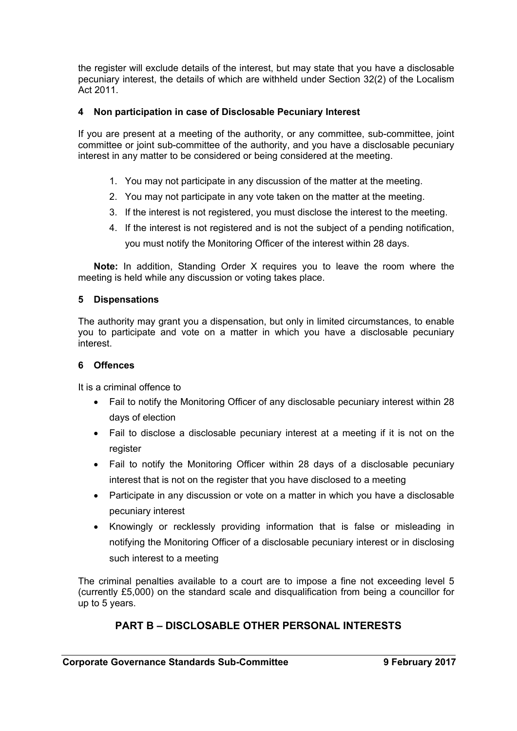the register will exclude details of the interest, but may state that you have a disclosable pecuniary interest, the details of which are withheld under Section 32(2) of the Localism Act 2011.

### **4 Non participation in case of Disclosable Pecuniary Interest**

If you are present at a meeting of the authority, or any committee, sub-committee, joint committee or joint sub-committee of the authority, and you have a disclosable pecuniary interest in any matter to be considered or being considered at the meeting.

- 1. You may not participate in any discussion of the matter at the meeting.
- 2. You may not participate in any vote taken on the matter at the meeting.
- 3. If the interest is not registered, you must disclose the interest to the meeting.
- 4. If the interest is not registered and is not the subject of a pending notification, you must notify the Monitoring Officer of the interest within 28 days.

**Note:** In addition, Standing Order X requires you to leave the room where the meeting is held while any discussion or voting takes place.

#### **5 Dispensations**

The authority may grant you a dispensation, but only in limited circumstances, to enable you to participate and vote on a matter in which you have a disclosable pecuniary interest.

#### **6 Offences**

It is a criminal offence to

- Fail to notify the Monitoring Officer of any disclosable pecuniary interest within 28 days of election
- Fail to disclose a disclosable pecuniary interest at a meeting if it is not on the register
- Fail to notify the Monitoring Officer within 28 days of a disclosable pecuniary interest that is not on the register that you have disclosed to a meeting
- Participate in any discussion or vote on a matter in which you have a disclosable pecuniary interest
- Knowingly or recklessly providing information that is false or misleading in notifying the Monitoring Officer of a disclosable pecuniary interest or in disclosing such interest to a meeting

The criminal penalties available to a court are to impose a fine not exceeding level 5 (currently £5,000) on the standard scale and disqualification from being a councillor for up to 5 years.

## **PART B – DISCLOSABLE OTHER PERSONAL INTERESTS**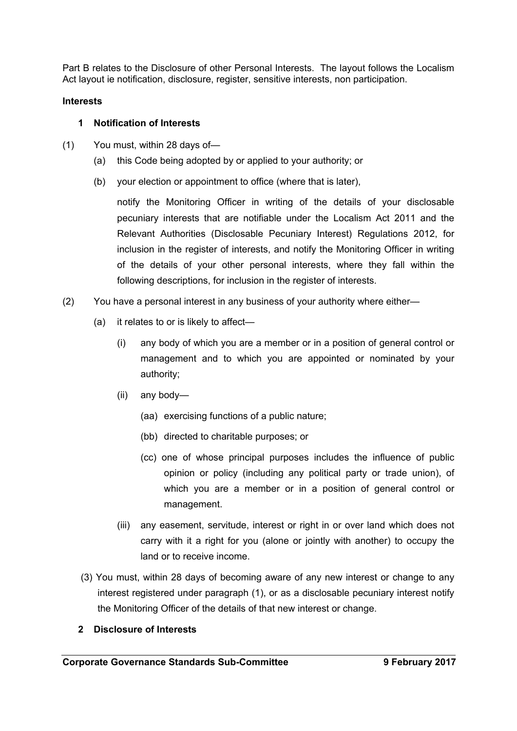Part B relates to the Disclosure of other Personal Interests. The layout follows the Localism Act layout ie notification, disclosure, register, sensitive interests, non participation.

### **Interests**

### **1 Notification of Interests**

- (1) You must, within 28 days of—
	- (a) this Code being adopted by or applied to your authority; or
	- (b) your election or appointment to office (where that is later),

notify the Monitoring Officer in writing of the details of your disclosable pecuniary interests that are notifiable under the Localism Act 2011 and the Relevant Authorities (Disclosable Pecuniary Interest) Regulations 2012, for inclusion in the register of interests, and notify the Monitoring Officer in writing of the details of your other personal interests, where they fall within the following descriptions, for inclusion in the register of interests.

- (2) You have a personal interest in any business of your authority where either—
	- (a) it relates to or is likely to affect—
		- (i) any body of which you are a member or in a position of general control or management and to which you are appointed or nominated by your authority;
		- (ii) any body—
			- (aa) exercising functions of a public nature;
			- (bb) directed to charitable purposes; or
			- (cc) one of whose principal purposes includes the influence of public opinion or policy (including any political party or trade union), of which you are a member or in a position of general control or management.
		- (iii) any easement, servitude, interest or right in or over land which does not carry with it a right for you (alone or jointly with another) to occupy the land or to receive income.
	- (3) You must, within 28 days of becoming aware of any new interest or change to any interest registered under paragraph (1), or as a disclosable pecuniary interest notify the Monitoring Officer of the details of that new interest or change.

#### **2 Disclosure of Interests**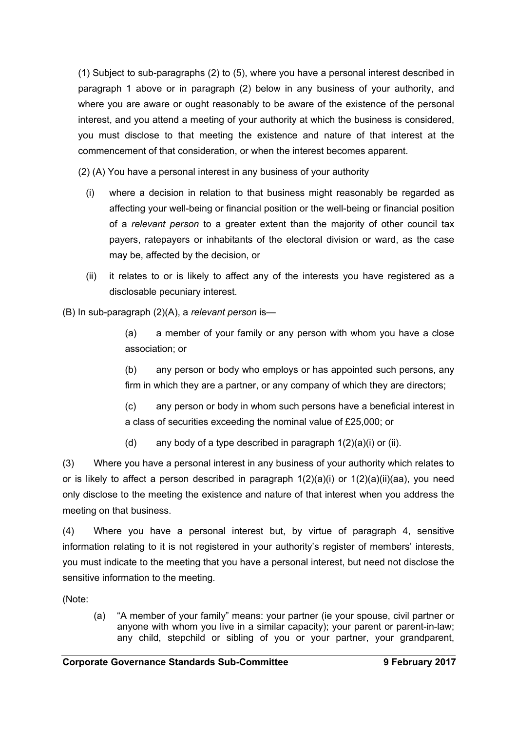(1) Subject to sub-paragraphs (2) to (5), where you have a personal interest described in paragraph 1 above or in paragraph (2) below in any business of your authority, and where you are aware or ought reasonably to be aware of the existence of the personal interest, and you attend a meeting of your authority at which the business is considered, you must disclose to that meeting the existence and nature of that interest at the commencement of that consideration, or when the interest becomes apparent.

(2) (A) You have a personal interest in any business of your authority

- (i) where a decision in relation to that business might reasonably be regarded as affecting your well-being or financial position or the well-being or financial position of a *relevant person* to a greater extent than the majority of other council tax payers, ratepayers or inhabitants of the electoral division or ward, as the case may be, affected by the decision, or
- (ii) it relates to or is likely to affect any of the interests you have registered as a disclosable pecuniary interest.

(B) In sub-paragraph (2)(A), a *relevant person* is—

(a) a member of your family or any person with whom you have a close association; or

(b) any person or body who employs or has appointed such persons, any firm in which they are a partner, or any company of which they are directors;

(c) any person or body in whom such persons have a beneficial interest in a class of securities exceeding the nominal value of £25,000; or

(d) any body of a type described in paragraph  $1(2)(a)(i)$  or (ii).

(3) Where you have a personal interest in any business of your authority which relates to or is likely to affect a person described in paragraph 1(2)(a)(i) or 1(2)(a)(ii)(aa), you need only disclose to the meeting the existence and nature of that interest when you address the meeting on that business.

(4) Where you have a personal interest but, by virtue of paragraph 4, sensitive information relating to it is not registered in your authority's register of members' interests, you must indicate to the meeting that you have a personal interest, but need not disclose the sensitive information to the meeting.

(Note:

(a) "A member of your family" means: your partner (ie your spouse, civil partner or anyone with whom you live in a similar capacity); your parent or parent-in-law; any child, stepchild or sibling of you or your partner, your grandparent,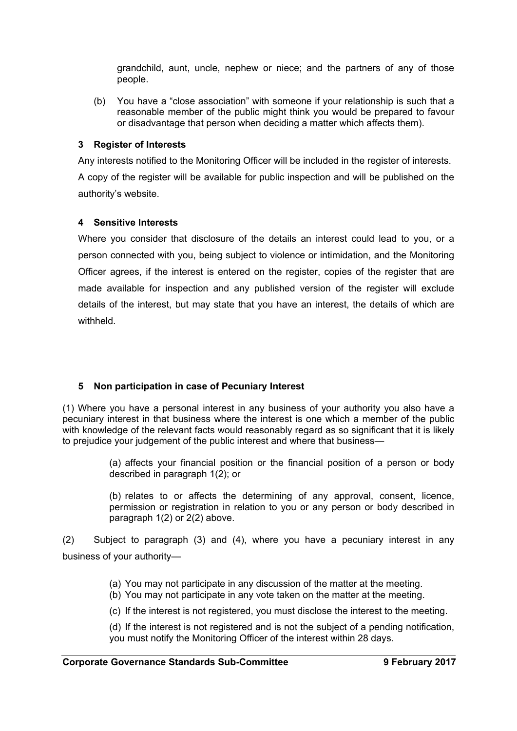grandchild, aunt, uncle, nephew or niece; and the partners of any of those people.

(b) You have a "close association" with someone if your relationship is such that a reasonable member of the public might think you would be prepared to favour or disadvantage that person when deciding a matter which affects them).

### **3 Register of Interests**

Any interests notified to the Monitoring Officer will be included in the register of interests.

A copy of the register will be available for public inspection and will be published on the authority's website.

### **4 Sensitive Interests**

Where you consider that disclosure of the details an interest could lead to you, or a person connected with you, being subject to violence or intimidation, and the Monitoring Officer agrees, if the interest is entered on the register, copies of the register that are made available for inspection and any published version of the register will exclude details of the interest, but may state that you have an interest, the details of which are withheld.

## **5 Non participation in case of Pecuniary Interest**

(1) Where you have a personal interest in any business of your authority you also have a pecuniary interest in that business where the interest is one which a member of the public with knowledge of the relevant facts would reasonably regard as so significant that it is likely to prejudice your judgement of the public interest and where that business—

> (a) affects your financial position or the financial position of a person or body described in paragraph 1(2); or

> (b) relates to or affects the determining of any approval, consent, licence, permission or registration in relation to you or any person or body described in paragraph 1(2) or 2(2) above.

(2) Subject to paragraph (3) and (4), where you have a pecuniary interest in any business of your authority—

(a) You may not participate in any discussion of the matter at the meeting.

- (b) You may not participate in any vote taken on the matter at the meeting.
- (c) If the interest is not registered, you must disclose the interest to the meeting.

(d) If the interest is not registered and is not the subject of a pending notification, you must notify the Monitoring Officer of the interest within 28 days.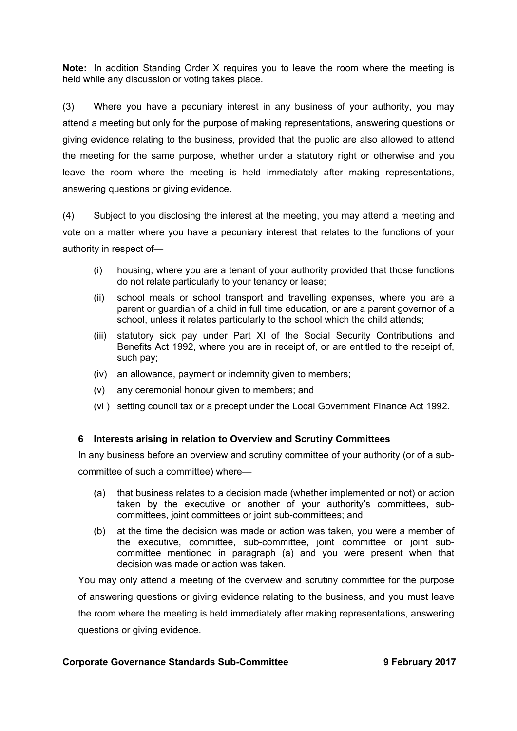**Note:** In addition Standing Order X requires you to leave the room where the meeting is held while any discussion or voting takes place.

(3) Where you have a pecuniary interest in any business of your authority, you may attend a meeting but only for the purpose of making representations, answering questions or giving evidence relating to the business, provided that the public are also allowed to attend the meeting for the same purpose, whether under a statutory right or otherwise and you leave the room where the meeting is held immediately after making representations, answering questions or giving evidence.

(4) Subject to you disclosing the interest at the meeting, you may attend a meeting and vote on a matter where you have a pecuniary interest that relates to the functions of your authority in respect of—

- (i) housing, where you are a tenant of your authority provided that those functions do not relate particularly to your tenancy or lease;
- (ii) school meals or school transport and travelling expenses, where you are a parent or guardian of a child in full time education, or are a parent governor of a school, unless it relates particularly to the school which the child attends;
- (iii) statutory sick pay under Part XI of the Social Security Contributions and Benefits Act 1992, where you are in receipt of, or are entitled to the receipt of, such pay;
- (iv) an allowance, payment or indemnity given to members;
- (v) any ceremonial honour given to members; and
- (vi ) setting council tax or a precept under the Local Government Finance Act 1992.

## **6 Interests arising in relation to Overview and Scrutiny Committees**

In any business before an overview and scrutiny committee of your authority (or of a subcommittee of such a committee) where—

- (a) that business relates to a decision made (whether implemented or not) or action taken by the executive or another of your authority's committees, subcommittees, joint committees or joint sub-committees; and
- (b) at the time the decision was made or action was taken, you were a member of the executive, committee, sub-committee, joint committee or joint subcommittee mentioned in paragraph (a) and you were present when that decision was made or action was taken.

You may only attend a meeting of the overview and scrutiny committee for the purpose of answering questions or giving evidence relating to the business, and you must leave the room where the meeting is held immediately after making representations, answering questions or giving evidence.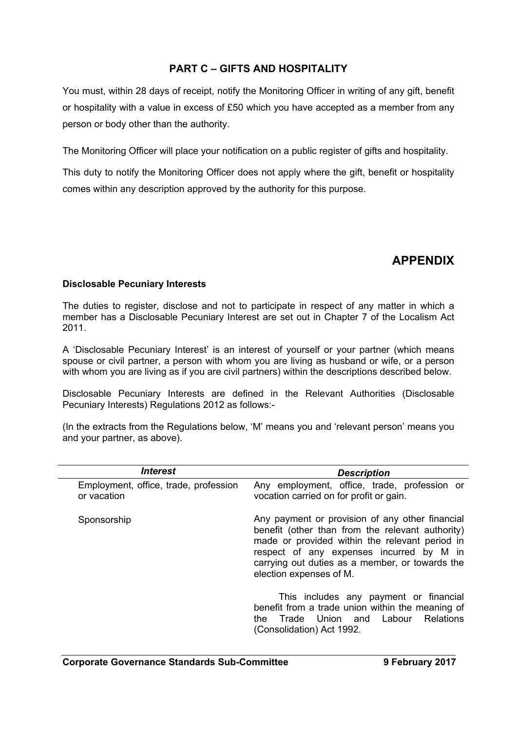## **PART C – GIFTS AND HOSPITALITY**

You must, within 28 days of receipt, notify the Monitoring Officer in writing of any gift, benefit or hospitality with a value in excess of £50 which you have accepted as a member from any person or body other than the authority.

The Monitoring Officer will place your notification on a public register of gifts and hospitality.

This duty to notify the Monitoring Officer does not apply where the gift, benefit or hospitality comes within any description approved by the authority for this purpose.

# **APPENDIX**

## **Disclosable Pecuniary Interests**

The duties to register, disclose and not to participate in respect of any matter in which a member has a Disclosable Pecuniary Interest are set out in Chapter 7 of the Localism Act 2011.

A 'Disclosable Pecuniary Interest' is an interest of yourself or your partner (which means spouse or civil partner, a person with whom you are living as husband or wife, or a person with whom you are living as if you are civil partners) within the descriptions described below.

Disclosable Pecuniary Interests are defined in the Relevant Authorities (Disclosable Pecuniary Interests) Regulations 2012 as follows:-

(In the extracts from the Regulations below, 'M' means you and 'relevant person' means you and your partner, as above).

| <i><b>Interest</b></i>                               | <b>Description</b>                                                                                                                                                                                                                                                              |
|------------------------------------------------------|---------------------------------------------------------------------------------------------------------------------------------------------------------------------------------------------------------------------------------------------------------------------------------|
| Employment, office, trade, profession<br>or vacation | Any employment, office, trade, profession or<br>vocation carried on for profit or gain.                                                                                                                                                                                         |
| Sponsorship                                          | Any payment or provision of any other financial<br>benefit (other than from the relevant authority)<br>made or provided within the relevant period in<br>respect of any expenses incurred by M in<br>carrying out duties as a member, or towards the<br>election expenses of M. |
|                                                      | This includes any payment or financial<br>benefit from a trade union within the meaning of<br>Trade Union<br>and Labour<br>Relations<br>the<br>(Consolidation) Act 1992.                                                                                                        |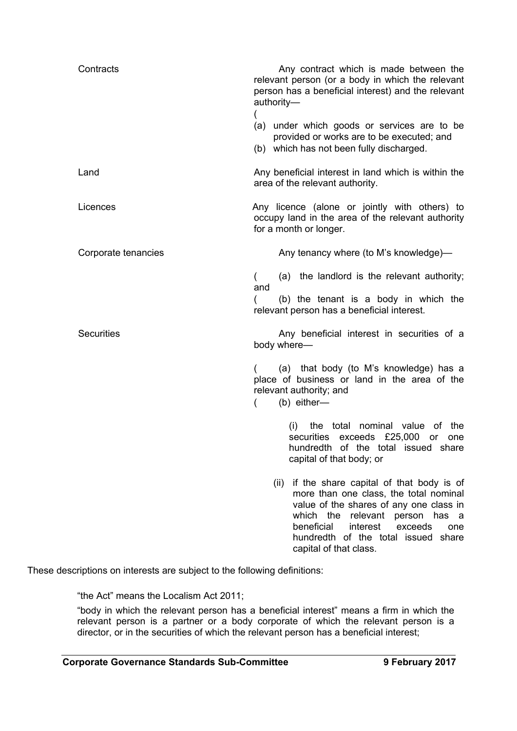| Contracts           | Any contract which is made between the<br>relevant person (or a body in which the relevant<br>person has a beneficial interest) and the relevant<br>authority-<br>(a) under which goods or services are to be                                                                             |
|---------------------|-------------------------------------------------------------------------------------------------------------------------------------------------------------------------------------------------------------------------------------------------------------------------------------------|
|                     | provided or works are to be executed; and<br>(b) which has not been fully discharged.                                                                                                                                                                                                     |
| Land                | Any beneficial interest in land which is within the<br>area of the relevant authority.                                                                                                                                                                                                    |
| Licences            | Any licence (alone or jointly with others) to<br>occupy land in the area of the relevant authority<br>for a month or longer.                                                                                                                                                              |
| Corporate tenancies | Any tenancy where (to M's knowledge)—                                                                                                                                                                                                                                                     |
|                     | (a) the landlord is the relevant authority;<br>$\overline{ }$<br>and                                                                                                                                                                                                                      |
|                     | (b) the tenant is a body in which the<br>relevant person has a beneficial interest.                                                                                                                                                                                                       |
| <b>Securities</b>   | Any beneficial interest in securities of a<br>body where-                                                                                                                                                                                                                                 |
|                     | (a) that body (to M's knowledge) has a<br>place of business or land in the area of the<br>relevant authority; and<br>$(b)$ either-<br>(                                                                                                                                                   |
|                     | (i)<br>the total nominal value of the<br>securities exceeds £25,000 or one<br>hundredth of the total issued share<br>capital of that body; or                                                                                                                                             |
|                     | (ii) if the share capital of that body is of<br>more than one class, the total nominal<br>value of the shares of any one class in<br>which the relevant person has<br>- a<br>beneficial<br>interest<br>exceeds<br>one<br>hundredth of the total issued<br>share<br>capital of that class. |

These descriptions on interests are subject to the following definitions:

"the Act" means the Localism Act 2011;

"body in which the relevant person has a beneficial interest" means a firm in which the relevant person is a partner or a body corporate of which the relevant person is a director, or in the securities of which the relevant person has a beneficial interest;